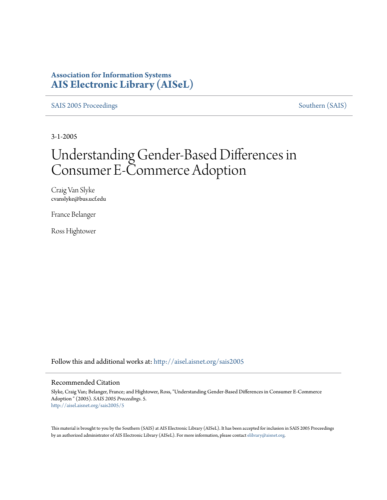## **Association for Information Systems [AIS Electronic Library \(AISeL\)](http://aisel.aisnet.org?utm_source=aisel.aisnet.org%2Fsais2005%2F5&utm_medium=PDF&utm_campaign=PDFCoverPages)**

[SAIS 2005 Proceedings](http://aisel.aisnet.org/sais2005?utm_source=aisel.aisnet.org%2Fsais2005%2F5&utm_medium=PDF&utm_campaign=PDFCoverPages) [Southern \(SAIS\)](http://aisel.aisnet.org/sais?utm_source=aisel.aisnet.org%2Fsais2005%2F5&utm_medium=PDF&utm_campaign=PDFCoverPages)

3-1-2005

# Understanding Gender-Based Differences in Consumer E-Commerce Adoption

Craig Van Slyke cvanslyke@bus.ucf.edu

France Belanger

Ross Hightower

Follow this and additional works at: [http://aisel.aisnet.org/sais2005](http://aisel.aisnet.org/sais2005?utm_source=aisel.aisnet.org%2Fsais2005%2F5&utm_medium=PDF&utm_campaign=PDFCoverPages)

#### Recommended Citation

Slyke, Craig Van; Belanger, France; and Hightower, Ross, "Understanding Gender-Based Differences in Consumer E-Commerce Adoption " (2005). *SAIS 2005 Proceedings*. 5. [http://aisel.aisnet.org/sais2005/5](http://aisel.aisnet.org/sais2005/5?utm_source=aisel.aisnet.org%2Fsais2005%2F5&utm_medium=PDF&utm_campaign=PDFCoverPages)

This material is brought to you by the Southern (SAIS) at AIS Electronic Library (AISeL). It has been accepted for inclusion in SAIS 2005 Proceedings by an authorized administrator of AIS Electronic Library (AISeL). For more information, please contact [elibrary@aisnet.org](mailto:elibrary@aisnet.org%3E).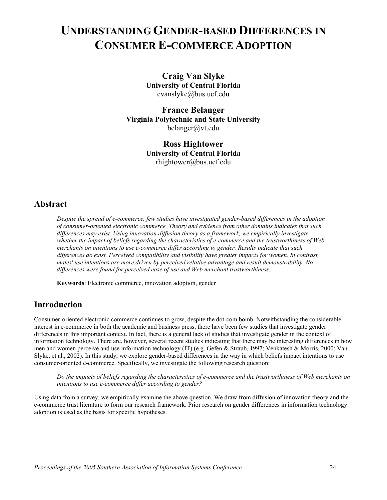## **UNDERSTANDING GENDER-BASED DIFFERENCES IN CONSUMER E-COMMERCE ADOPTION**

**Craig Van Slyke University of Central Florida**  cvanslyke@bus.ucf.edu

**France Belanger Virginia Polytechnic and State University**  [belanger@vt.edu](mailto:belanger@vt.edu)

> **Ross Hightower University of Central Florida**  [rhightower@bus.ucf.edu](mailto:rhightower@bus.ucf.edu)

## **Abstract**

*Despite the spread of e-commerce, few studies have investigated gender-based differences in the adoption of consumer-oriented electronic commerce. Theory and evidence from other domains indicates that such differences may exist. Using innovation diffusion theory as a framework, we empirically investigate whether the impact of beliefs regarding the characteristics of e-commerce and the trustworthiness of Web merchants on intentions to use e-commerce differ according to gender. Results indicate that such differences do exist. Perceived compatibility and visibility have greater impacts for women. In contrast, males' use intentions are more driven by perceived relative advantage and result demonstrability. No differences were found for perceived ease of use and Web merchant trustworthiness.* 

**Keywords**: Electronic commerce, innovation adoption, gender

## **Introduction**

Consumer-oriented electronic commerce continues to grow, despite the dot-com bomb. Notwithstanding the considerable interest in e-commerce in both the academic and business press, there have been few studies that investigate gender differences in this important context. In fact, there is a general lack of studies that investigate gender in the context of information technology. There are, however, several recent studies indicating that there may be interesting differences in how men and women perceive and use information technology (IT) (e.g. Gefen & Straub, 1997; Venkatesh & Morris, 2000; Van Slyke, et al., 2002). In this study, we explore gender-based differences in the way in which beliefs impact intentions to use consumer-oriented e-commerce. Specifically, we investigate the following research question:

*Do the impacts of beliefs regarding the characteristics of e-commerce and the trustworthiness of Web merchants on intentions to use e-commerce differ according to gender?*

Using data from a survey, we empirically examine the above question. We draw from diffusion of innovation theory and the e-commerce trust literature to form our research framework. Prior research on gender differences in information technology adoption is used as the basis for specific hypotheses.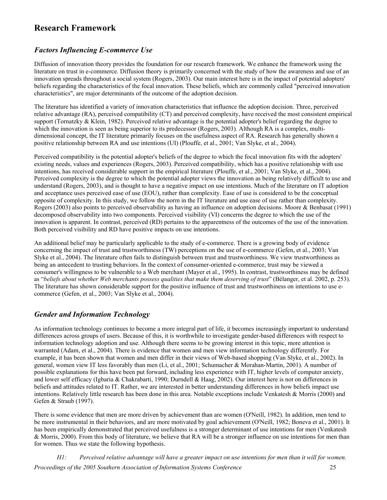## **Research Framework**

## *Factors Influencing E-commerce Use*

Diffusion of innovation theory provides the foundation for our research framework. We enhance the framework using the literature on trust in e-commerce. Diffusion theory is primarily concerned with the study of how the awareness and use of an innovation spreads throughout a social system (Rogers, 2003). Our main interest here is in the impact of potential adopters' beliefs regarding the characteristics of the focal innovation. These beliefs, which are commonly called "perceived innovation characteristics", are major determinants of the outcome of the adoption decision.

The literature has identified a variety of innovation characteristics that influence the adoption decision. Three, perceived relative advantage (RA), perceived compatibility (CT) and perceived complexity, have received the most consistent empirical support (Tornatzky & Klein, 1982). Perceived relative advantage is the potential adopter's belief regarding the degree to which the innovation is seen as being superior to its predecessor (Rogers, 2003). Although RA is a complex, multidimensional concept, the IT literature primarily focuses on the usefulness aspect of RA. Research has generally shown a positive relationship between RA and use intentions (UI) (Plouffe, et al., 2001; Van Slyke, et al., 2004).

Perceived compatibility is the potential adopter's beliefs of the degree to which the focal innovation fits with the adopters' existing needs, values and experiences (Rogers, 2003). Perceived compatibility, which has a positive relationship with use intentions, has received considerable support in the empirical literature (Plouffe, et al., 2001; Van Slyke, et al., 2004). Perceived complexity is the degree to which the potential adopter views the innovation as being relatively difficult to use and understand (Rogers, 2003), and is thought to have a negative impact on use intentions. Much of the literature on IT adoption and acceptance uses perceived ease of use (EOU), rather than complexity. Ease of use is considered to be the conceptual opposite of complexity. In this study, we follow the norm in the IT literature and use ease of use rather than complexity. Rogers (2003) also points to perceived observability as having an influence on adoption decisions. Moore & Benbasat (1991) decomposed observability into two components. Perceived visibility (VI) concerns the degree to which the use of the innovation is apparent. In contrast, perceived (RD) pertains to the apparentness of the outcomes of the use of the innovation. Both perceived visibility and RD have positive impacts on use intentions.

An additional belief may be particularly applicable to the study of e-commerce. There is a growing body of evidence concerning the impact of trust and trustworthiness (TW) perceptions on the use of e-commerce (Gefen, et al., 2003; Van Slyke et al., 2004). The literature often fails to distinguish between trust and trustworthiness. We view trustworthiness as being an antecedent to trusting behaviors. In the context of consumer-oriented e-commerce, trust may be viewed a consumer's willingness to be vulnerable to a Web merchant (Mayer et al., 1995). In contrast, trustworthiness may be defined as "*beliefs about whether Web merchants possess qualities that make them deserving of trust*" (Bélanger, et al. 2002, p. 253). The literature has shown considerable support for the positive influence of trust and trustworthiness on intentions to use ecommerce (Gefen, et al., 2003; Van Slyke et al., 2004).

### *Gender and Information Technology*

As information technology continues to become a more integral part of life, it becomes increasingly important to understand differences across groups of users. Because of this, it is worthwhile to investigate gender-based differences with respect to information technology adoption and use. Although there seems to be growing interest in this topic, more attention is warranted (Adam, et al., 2004). There is evidence that women and men view information technology differently. For example, it has been shown that women and men differ in their views of Web-based shopping (Van Slyke, et al., 2002). In general, women view IT less favorably than men (Li, et al., 2001; Schumacher & Morahan-Martin, 2001). A number of possible explanations for this have been put forward, including less experience with IT, higher levels of computer anxiety, and lower self efficacy (Igbaria & Chakrabarti, 1990; Durndell & Haag, 2002). Our interest here is not on differences in beliefs and attitudes related to IT. Rather, we are interested in better understanding differences in how beliefs impact use intentions. Relatively little research has been done in this area. Notable exceptions include Venkatesh & Morris (2000) and Gefen & Straub (1997).

There is some evidence that men are more driven by achievement than are women (O'Neill, 1982). In addition, men tend to be more instrumental in their behaviors, and are more motivated by goal achievement (O'Neill, 1982; Boneva et al., 2001). It has been empirically demonstrated that perceived usefulness is a stronger determinant of use intentions for men (Venkatesh & Morris, 2000). From this body of literature, we believe that RA will be a stronger influence on use intentions for men than for women. Thus we state the following hypothesis.

*H1: Perceived relative advantage will have a greater impact on use intentions for men than it will for women. Proceedings of the 2005 Southern Association of Information Systems Conference* 25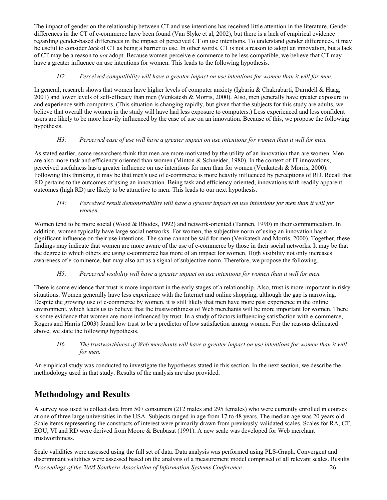The impact of gender on the relationship between CT and use intentions has received little attention in the literature. Gender differences in the CT of e-commerce have been found (Van Slyke et al, 2002), but there is a lack of empirical evidence regarding gender-based differences in the impact of perceived CT on use intentions. To understand gender differences, it may be useful to consider *lack* of CT as being a barrier to use. In other words, CT is not a reason to adopt an innovation, but a lack of CT may be a reason to *not* adopt. Because women perceive e-commerce to be less compatible, we believe that CT may have a greater influence on use intentions for women. This leads to the following hypothesis.

#### *H2: Perceived compatibility will have a greater impact on use intentions for women than it will for men.*

In general, research shows that women have higher levels of computer anxiety (Igbaria & Chakrabarti, Durndell & Haag, 2001) and lower levels of self-efficacy than men (Venkatesh & Morris, 2000). Also, men generally have greater exposure to and experience with computers. (This situation is changing rapidly, but given that the subjects for this study are adults, we believe that overall the women in the study will have had less exposure to computers.) Less experienced and less confident users are likely to be more heavily influenced by the ease of use on an innovation. Because of this, we propose the following hypothesis.

#### *H3: Perceived ease of use will have a greater impact on use intentions for women than it will for men.*

As stated earlier, some researchers think that men are more motivated by the utility of an innovation than are women. Men are also more task and efficiency oriented than women (Minton & Schneider, 1980). In the context of IT innovations, perceived usefulness has a greater influence on use intentions for men than for women (Venkatesh & Morris, 2000). Following this thinking, it may be that men's use of e-commerce is more heavily influenced by perceptions of RD. Recall that RD pertains to the outcomes of using an innovation. Being task and efficiency oriented, innovations with readily apparent outcomes (high RD) are likely to be attractive to men. This leads to our next hypothesis.

#### *H4: Perceived result demonstrability will have a greater impact on use intentions for men than it will for women.*

Women tend to be more social (Wood & Rhodes, 1992) and network-oriented (Tannen, 1990) in their communication. In addition, women typically have large social networks. For women, the subjective norm of using an innovation has a significant influence on their use intentions. The same cannot be said for men (Venkatesh and Morris, 2000). Together, these findings may indicate that women are more aware of the use of e-commerce by those in their social networks. It may be that the degree to which others are using e-commerce has more of an impact for women. High visibility not only increases awareness of e-commerce, but may also act as a signal of subjective norm. Therefore, we propose the following.

#### *H5: Perceived visibility will have a greater impact on use intentions for women than it will for men.*

There is some evidence that trust is more important in the early stages of a relationship. Also, trust is more important in risky situations. Women generally have less experience with the Internet and online shopping, although the gap is narrowing. Despite the growing use of e-commerce by women, it is still likely that men have more past experience in the online environment, which leads us to believe that the trustworthiness of Web merchants will be more important for women. There is some evidence that women are more influenced by trust. In a study of factors influencing satisfaction with e-commerce, Rogers and Harris (2003) found low trust to be a predictor of low satisfaction among women. For the reasons delineated above, we state the following hypothesis.

#### *H6: The trustworthiness of Web merchants will have a greater impact on use intentions for women than it will for men.*

An empirical study was conducted to investigate the hypotheses stated in this section. In the next section, we describe the methodology used in that study. Results of the analysis are also provided.

## **Methodology and Results**

A survey was used to collect data from 507 consumers (212 males and 295 females) who were currently enrolled in courses at one of three large universities in the USA. Subjects ranged in age from 17 to 48 years. The median age was 20 years old. Scale items representing the constructs of interest were primarily drawn from previously-validated scales. Scales for RA, CT, EOU, VI and RD were derived from Moore & Benbasat (1991). A new scale was developed for Web merchant trustworthiness.

Scale validities were assessed using the full set of data. Data analysis was performed using PLS-Graph. Convergent and discriminant validities were assessed based on the analysis of a measurement model comprised of all relevant scales. Results *Proceedings of the 2005 Southern Association of Information Systems Conference* 26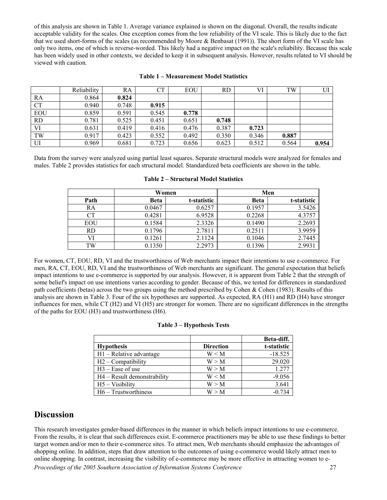of this analysis are shown in Table 1. Average variance explained is shown on the diagonal. Overall, the results indicate acceptable validity for the scales. One exception comes from the low reliability of the VI scale. This is likely due to the fact that we used short-forms of the scales (as recommended by Moore & Benbasat (1991)). The short form of the VI scale has only two items, one of which is reverse-worded. This likely had a negative impact on the scale's reliability. Because this scale has been widely used in other contexts, we decided to keep it in subsequent analysis. However, results related to VI should be viewed with caution.

|            | Reliability | RA    | <b>CT</b> | EOU   | <b>RD</b> | VI    | TW    | UI    |
|------------|-------------|-------|-----------|-------|-----------|-------|-------|-------|
| RA         | 0.864       | 0.824 |           |       |           |       |       |       |
| <b>CT</b>  | 0.940       | 0.748 | 0.915     |       |           |       |       |       |
| <b>EOU</b> | 0.859       | 0.591 | 0.545     | 0.778 |           |       |       |       |
| <b>RD</b>  | 0.781       | 0.525 | 0.451     | 0.651 | 0.748     |       |       |       |
| VI         | 0.631       | 0.419 | 0.416     | 0.476 | 0.387     | 0.723 |       |       |
| TW         | 0.917       | 0.423 | 0.552     | 0.492 | 0.350     | 0.346 | 0.887 |       |
| UI         | 0.969       | 0.681 | 0.723     | 0.656 | 0.623     | 0.512 | 0.564 | 0.954 |

#### **Table 1 – Measurement Model Statistics**

Data from the survey were analyzed using partial least squares. Separate structural models were analyzed for females and males. Table 2 provides statistics for each structural model. Standardized beta coefficients are shown in the table.

|      |        | Women       | Men         |             |  |
|------|--------|-------------|-------------|-------------|--|
| Path | Beta   | t-statistic | <b>Beta</b> | t-statistic |  |
| RA   | 0.0467 | 0.6257      | 0.1957      | 3.5426      |  |
|      | 0.4281 | 6.9528      | 0.2268      | 4.3757      |  |
| EOU  | 0.1584 | 2.3326      | 0.1490      | 2.2693      |  |
| RD   | 0.1796 | 2.7811      | 0.2511      | 3.9959      |  |
|      | 0.1261 | 2.1124      | 0.1046      | 2.7445      |  |
| TW   | 0.1350 | 2.2973      | 0.1396      | 2.9931      |  |

**Table 2 – Structural Model Statistics** 

For women, CT, EOU, RD, VI and the trustworthiness of Web merchants impact their intentions to use e-commerce. For men, RA, CT, EOU, RD, VI and the trustworthiness of Web merchants are significant. The general expectation that beliefs impact intentions to use e-commerce is supported by our analysis. However, it is apparent from Table 2 that the strength of some belief's impact on use intentions varies according to gender. Because of this, we tested for differences in standardized path coefficients (betas) across the two groups using the method prescribed by Cohen  $\&$  Cohen (1983). Results of this analysis are shown in Table 3. Four of the six hypotheses are supported. As expected, RA (H1) and RD (H4) have stronger influences for men, while CT (H2) and VI (H5) are stronger for women. There are no significant differences in the strengths of the paths for EOU (H3) and trustworthiness (H6).

| Table 3 – Hypothesis Tests |  |  |  |  |  |
|----------------------------|--|--|--|--|--|
|----------------------------|--|--|--|--|--|

|                                |                  | Beta-diff.  |
|--------------------------------|------------------|-------------|
| <b>Hypothesis</b>              | <b>Direction</b> | t-statistic |
| $H1$ – Relative advantage      | $W \leq M$       | $-18.525$   |
| H <sub>2</sub> - Compatibility | W > M            | 29.020      |
| $H3 - E$ ase of use            | W > M            | 1.277       |
| $H4 - Result$ demonstrability  | $W \leq M$       | $-9.056$    |
| $H5 - Visibility$              | W > M            | 3.641       |
| $H6 - Trustworthiness$         | W > M            | $-0.734$    |

## **Discussion**

This research investigates gender-based differences in the manner in which beliefs impact intentions to use e-commerce. From the results, it is clear that such differences exist. E-commerce practitioners may be able to use these findings to better target women and/or men to their e-commerce sites. To attract men, Web merchants should emphasize the advantages of shopping online. In addition, steps that draw attention to the outcomes of using e-commerce would likely attract men to online shopping. In contrast, increasing the visibility of e-commerce may be more effective in attracting women to e-*Proceedings of the 2005 Southern Association of Information Systems Conference* 27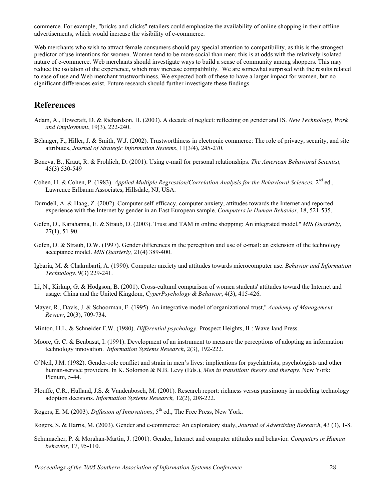commerce. For example, "bricks-and-clicks" retailers could emphasize the availability of online shopping in their offline advertisements, which would increase the visibility of e-commerce.

Web merchants who wish to attract female consumers should pay special attention to compatibility, as this is the strongest predictor of use intentions for women. Women tend to be more social than men; this is at odds with the relatively isolated nature of e-commerce. Web merchants should investigate ways to build a sense of community among shoppers. This may reduce the isolation of the experience, which may increase compatibility. We are somewhat surprised with the results related to ease of use and Web merchant trustworthiness. We expected both of these to have a larger impact for women, but no significant differences exist. Future research should further investigate these findings.

## **References**

- Adam, A., Howcraft, D. & Richardson, H. (2003). A decade of neglect: reflecting on gender and IS. *New Technology, Work and Employment*, 19(3), 222-240.
- Bélanger, F., Hiller, J. & Smith, W.J. (2002). Trustworthiness in electronic commerce: The role of privacy, security, and site attributes, *Journal of Strategic Information Systems*, 11(3/4), 245-270.
- Boneva, B., Kraut, R. & Frohlich, D. (2001). Using e-mail for personal relationships. *The American Behavioral Scientist,* 45(3) 530-549
- Cohen, H. & Cohen, P. (1983). *Applied Multiple Regression/Correlation Analysis for the Behavioral Sciences,* 2nd ed., Lawrence Erlbaum Associates, Hillsdale, NJ, USA.
- Durndell, A. & Haag, Z. (2002). Computer self-efficacy, computer anxiety, attitudes towards the Internet and reported experience with the Internet by gender in an East European sample. *Computers in Human Behavior*, 18, 521-535.
- Gefen, D., Karahanna, E. & Straub, D. (2003). Trust and TAM in online shopping: An integrated model," *MIS Quarterly*, 27(1), 51-90.
- Gefen, D. & Straub, D.W. (1997). Gender differences in the perception and use of e-mail: an extension of the technology acceptance model. *MIS Quarterly,* 21(4) 389-400.
- Igbaria, M. & Chakrabarti, A. (1990). Computer anxiety and attitudes towards microcomputer use. *Behavior and Information Technology*, 9(3) 229-241.
- Li, N., Kirkup, G. & Hodgson, B. (2001). Cross-cultural comparison of women students' attitudes toward the Internet and usage: China and the United Kingdom, *CyperPsychology & Behavior*, 4(3), 415-426.
- Mayer, R., Davis, J. & Schoorman, F. (1995). An integrative model of organizational trust," *Academy of Management Review*, 20(3), 709-734.
- Minton, H.L. & Schneider F.W. (1980). *Differential psychology*. Prospect Heights, IL: Wave-land Press.
- Moore, G. C. & Benbasat, I. (1991). Development of an instrument to measure the perceptions of adopting an information technology innovation. *Information Systems Research*, 2(3), 192-222.
- O'Neil, J.M. (1982). Gender-role conflict and strain in men's lives: implications for psychiatrists, psychologists and other human-service providers. In K. Solomon & N.B. Levy (Eds.), *Men in transition: theory and therapy*. New York: Plenum, 5-44.
- Plouffe, C.R., Hulland, J.S. & Vandenbosch, M. (2001). Research report: richness versus parsimony in modeling technology adoption decisions. *Information Systems Research,* 12(2), 208-222.
- Rogers, E. M. (2003). *Diffusion of Innovations*,  $5<sup>th</sup>$  ed., The Free Press, New York.
- Rogers, S. & Harris, M. (2003). Gender and e-commerce: An exploratory study, *Journal of Advertising Research*, 43 (3), 1-8.
- Schumacher, P. & Morahan-Martin, J. (2001). Gender, Internet and computer attitudes and behavior*. Computers in Human behavior,* 17, 95-110.